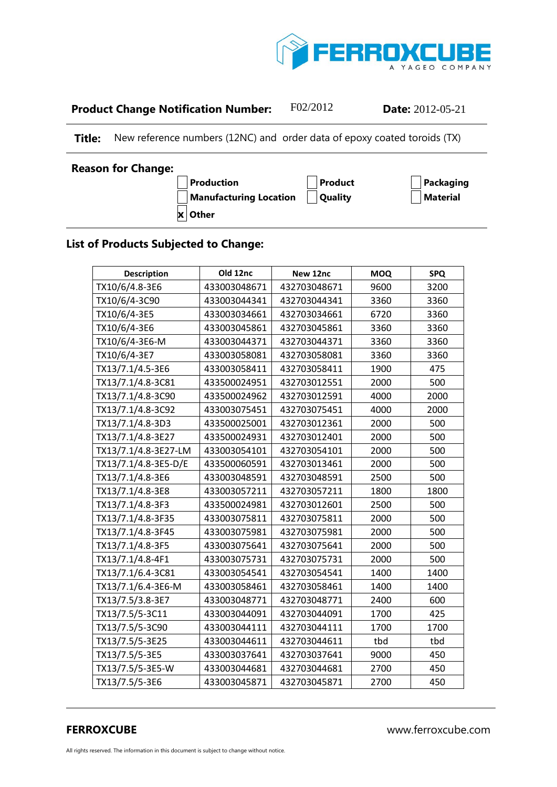

## **Product Change Notification Number:** F02/2012 **Date:** 2012-05-21

**Title:** New reference numbers (12NC) and order data of epoxy coated toroids (TX)

| <b>Reason for Change:</b> |                               |                |           |
|---------------------------|-------------------------------|----------------|-----------|
|                           | Production                    | <b>Product</b> | Packaging |
|                           | <b>Manufacturing Location</b> | Quality        | Material  |
|                           | x Other                       |                |           |

## **List of Products Subjected to Change:**

| <b>Description</b>   | Old 12nc     | New 12nc     | <b>MOQ</b> | <b>SPQ</b> |
|----------------------|--------------|--------------|------------|------------|
| TX10/6/4.8-3E6       | 433003048671 | 432703048671 | 9600       | 3200       |
| TX10/6/4-3C90        | 433003044341 | 432703044341 | 3360       | 3360       |
| TX10/6/4-3E5         | 433003034661 | 432703034661 | 6720       | 3360       |
| TX10/6/4-3E6         | 433003045861 | 432703045861 | 3360       | 3360       |
| TX10/6/4-3E6-M       | 433003044371 | 432703044371 | 3360       | 3360       |
| TX10/6/4-3E7         | 433003058081 | 432703058081 | 3360       | 3360       |
| TX13/7.1/4.5-3E6     | 433003058411 | 432703058411 | 1900       | 475        |
| TX13/7.1/4.8-3C81    | 433500024951 | 432703012551 | 2000       | 500        |
| TX13/7.1/4.8-3C90    | 433500024962 | 432703012591 | 4000       | 2000       |
| TX13/7.1/4.8-3C92    | 433003075451 | 432703075451 | 4000       | 2000       |
| TX13/7.1/4.8-3D3     | 433500025001 | 432703012361 | 2000       | 500        |
| TX13/7.1/4.8-3E27    | 433500024931 | 432703012401 | 2000       | 500        |
| TX13/7.1/4.8-3E27-LM | 433003054101 | 432703054101 | 2000       | 500        |
| TX13/7.1/4.8-3E5-D/E | 433500060591 | 432703013461 | 2000       | 500        |
| TX13/7.1/4.8-3E6     | 433003048591 | 432703048591 | 2500       | 500        |
| TX13/7.1/4.8-3E8     | 433003057211 | 432703057211 | 1800       | 1800       |
| TX13/7.1/4.8-3F3     | 433500024981 | 432703012601 | 2500       | 500        |
| TX13/7.1/4.8-3F35    | 433003075811 | 432703075811 | 2000       | 500        |
| TX13/7.1/4.8-3F45    | 433003075981 | 432703075981 | 2000       | 500        |
| TX13/7.1/4.8-3F5     | 433003075641 | 432703075641 | 2000       | 500        |
| TX13/7.1/4.8-4F1     | 433003075731 | 432703075731 | 2000       | 500        |
| TX13/7.1/6.4-3C81    | 433003054541 | 432703054541 | 1400       | 1400       |
| TX13/7.1/6.4-3E6-M   | 433003058461 | 432703058461 | 1400       | 1400       |
| TX13/7.5/3.8-3E7     | 433003048771 | 432703048771 | 2400       | 600        |
| TX13/7.5/5-3C11      | 433003044091 | 432703044091 | 1700       | 425        |
| TX13/7.5/5-3C90      | 433003044111 | 432703044111 | 1700       | 1700       |
| TX13/7.5/5-3E25      | 433003044611 | 432703044611 | tbd        | tbd        |
| TX13/7.5/5-3E5       | 433003037641 | 432703037641 | 9000       | 450        |
| TX13/7.5/5-3E5-W     | 433003044681 | 432703044681 | 2700       | 450        |
| TX13/7.5/5-3E6       | 433003045871 | 432703045871 | 2700       | 450        |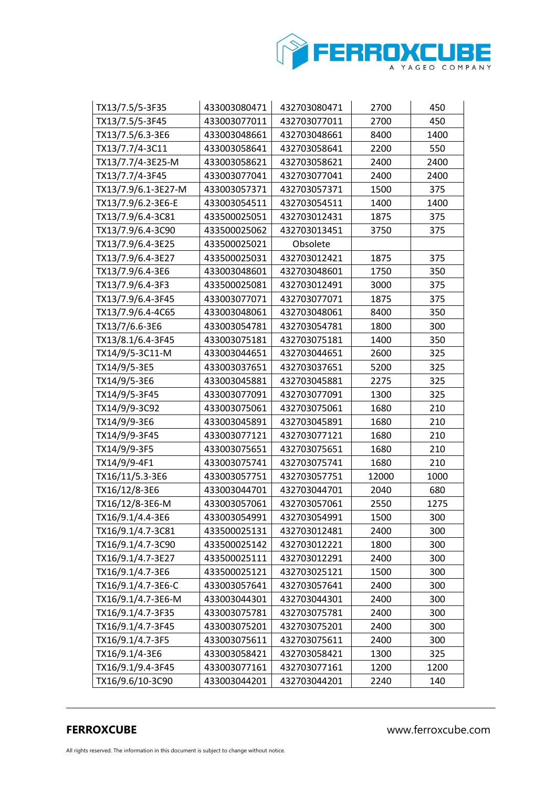

| TX13/7.5/5-3F35     | 433003080471 | 432703080471 | 2700  | 450  |
|---------------------|--------------|--------------|-------|------|
| TX13/7.5/5-3F45     | 433003077011 | 432703077011 | 2700  | 450  |
| TX13/7.5/6.3-3E6    | 433003048661 | 432703048661 | 8400  | 1400 |
| TX13/7.7/4-3C11     | 433003058641 | 432703058641 | 2200  | 550  |
| TX13/7.7/4-3E25-M   | 433003058621 | 432703058621 | 2400  | 2400 |
| TX13/7.7/4-3F45     | 433003077041 | 432703077041 | 2400  | 2400 |
| TX13/7.9/6.1-3E27-M | 433003057371 | 432703057371 | 1500  | 375  |
| TX13/7.9/6.2-3E6-E  | 433003054511 | 432703054511 | 1400  | 1400 |
| TX13/7.9/6.4-3C81   | 433500025051 | 432703012431 | 1875  | 375  |
| TX13/7.9/6.4-3C90   | 433500025062 | 432703013451 | 3750  | 375  |
| TX13/7.9/6.4-3E25   | 433500025021 | Obsolete     |       |      |
| TX13/7.9/6.4-3E27   | 433500025031 | 432703012421 | 1875  | 375  |
| TX13/7.9/6.4-3E6    | 433003048601 | 432703048601 | 1750  | 350  |
| TX13/7.9/6.4-3F3    | 433500025081 | 432703012491 | 3000  | 375  |
| TX13/7.9/6.4-3F45   | 433003077071 | 432703077071 | 1875  | 375  |
| TX13/7.9/6.4-4C65   | 433003048061 | 432703048061 | 8400  | 350  |
| TX13/7/6.6-3E6      | 433003054781 | 432703054781 | 1800  | 300  |
| TX13/8.1/6.4-3F45   | 433003075181 | 432703075181 | 1400  | 350  |
| TX14/9/5-3C11-M     | 433003044651 | 432703044651 | 2600  | 325  |
| TX14/9/5-3E5        | 433003037651 | 432703037651 | 5200  | 325  |
| TX14/9/5-3E6        | 433003045881 | 432703045881 | 2275  | 325  |
| TX14/9/5-3F45       | 433003077091 | 432703077091 | 1300  | 325  |
| TX14/9/9-3C92       | 433003075061 | 432703075061 | 1680  | 210  |
| TX14/9/9-3E6        | 433003045891 | 432703045891 | 1680  | 210  |
| TX14/9/9-3F45       | 433003077121 | 432703077121 | 1680  | 210  |
| TX14/9/9-3F5        | 433003075651 | 432703075651 | 1680  | 210  |
| TX14/9/9-4F1        | 433003075741 | 432703075741 | 1680  | 210  |
| TX16/11/5.3-3E6     | 433003057751 | 432703057751 | 12000 | 1000 |
| TX16/12/8-3E6       | 433003044701 | 432703044701 | 2040  | 680  |
| TX16/12/8-3E6-M     | 433003057061 | 432703057061 | 2550  | 1275 |
| TX16/9.1/4.4-3E6    | 433003054991 | 432703054991 | 1500  | 300  |
| TX16/9.1/4.7-3C81   | 433500025131 | 432703012481 | 2400  | 300  |
| TX16/9.1/4.7-3C90   | 433500025142 | 432703012221 | 1800  | 300  |
| TX16/9.1/4.7-3E27   | 433500025111 | 432703012291 | 2400  | 300  |
| TX16/9.1/4.7-3E6    | 433500025121 | 432703025121 | 1500  | 300  |
| TX16/9.1/4.7-3E6-C  | 433003057641 | 432703057641 | 2400  | 300  |
| TX16/9.1/4.7-3E6-M  | 433003044301 | 432703044301 | 2400  | 300  |
| TX16/9.1/4.7-3F35   | 433003075781 | 432703075781 | 2400  | 300  |
| TX16/9.1/4.7-3F45   | 433003075201 | 432703075201 | 2400  | 300  |
| TX16/9.1/4.7-3F5    | 433003075611 | 432703075611 | 2400  | 300  |
| TX16/9.1/4-3E6      | 433003058421 | 432703058421 | 1300  | 325  |
| TX16/9.1/9.4-3F45   | 433003077161 | 432703077161 | 1200  | 1200 |
| TX16/9.6/10-3C90    | 433003044201 | 432703044201 | 2240  | 140  |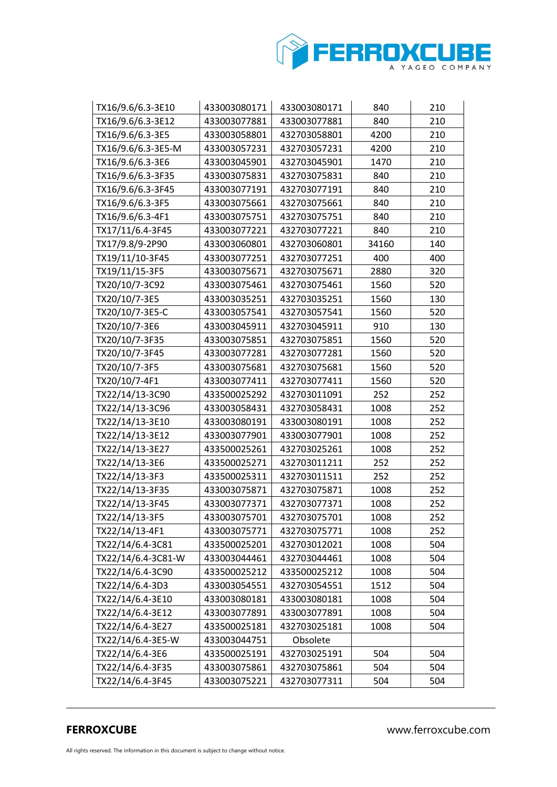

| TX16/9.6/6.3-3E10  | 433003080171 | 433003080171 | 840   | 210 |
|--------------------|--------------|--------------|-------|-----|
| TX16/9.6/6.3-3E12  | 433003077881 | 433003077881 | 840   | 210 |
| TX16/9.6/6.3-3E5   | 433003058801 | 432703058801 | 4200  | 210 |
| TX16/9.6/6.3-3E5-M | 433003057231 | 432703057231 | 4200  | 210 |
| TX16/9.6/6.3-3E6   | 433003045901 | 432703045901 | 1470  | 210 |
| TX16/9.6/6.3-3F35  | 433003075831 | 432703075831 | 840   | 210 |
| TX16/9.6/6.3-3F45  | 433003077191 | 432703077191 | 840   | 210 |
| TX16/9.6/6.3-3F5   | 433003075661 | 432703075661 | 840   | 210 |
| TX16/9.6/6.3-4F1   | 433003075751 | 432703075751 | 840   | 210 |
| TX17/11/6.4-3F45   | 433003077221 | 432703077221 | 840   | 210 |
| TX17/9.8/9-2P90    | 433003060801 | 432703060801 | 34160 | 140 |
| TX19/11/10-3F45    | 433003077251 | 432703077251 | 400   | 400 |
| TX19/11/15-3F5     | 433003075671 | 432703075671 | 2880  | 320 |
| TX20/10/7-3C92     | 433003075461 | 432703075461 | 1560  | 520 |
| TX20/10/7-3E5      | 433003035251 | 432703035251 | 1560  | 130 |
| TX20/10/7-3E5-C    | 433003057541 | 432703057541 | 1560  | 520 |
| TX20/10/7-3E6      | 433003045911 | 432703045911 | 910   | 130 |
| TX20/10/7-3F35     | 433003075851 | 432703075851 | 1560  | 520 |
| TX20/10/7-3F45     | 433003077281 | 432703077281 | 1560  | 520 |
| TX20/10/7-3F5      | 433003075681 | 432703075681 | 1560  | 520 |
| TX20/10/7-4F1      | 433003077411 | 432703077411 | 1560  | 520 |
| TX22/14/13-3C90    | 433500025292 | 432703011091 | 252   | 252 |
| TX22/14/13-3C96    | 433003058431 | 432703058431 | 1008  | 252 |
| TX22/14/13-3E10    | 433003080191 | 433003080191 | 1008  | 252 |
| TX22/14/13-3E12    | 433003077901 | 433003077901 | 1008  | 252 |
| TX22/14/13-3E27    | 433500025261 | 432703025261 | 1008  | 252 |
| TX22/14/13-3E6     | 433500025271 | 432703011211 | 252   | 252 |
| TX22/14/13-3F3     | 433500025311 | 432703011511 | 252   | 252 |
| TX22/14/13-3F35    | 433003075871 | 432703075871 | 1008  | 252 |
| TX22/14/13-3F45    | 433003077371 | 432703077371 | 1008  | 252 |
| TX22/14/13-3F5     | 433003075701 | 432703075701 | 1008  | 252 |
| TX22/14/13-4F1     | 433003075771 | 432703075771 | 1008  | 252 |
| TX22/14/6.4-3C81   | 433500025201 | 432703012021 | 1008  | 504 |
| TX22/14/6.4-3C81-W | 433003044461 | 432703044461 | 1008  | 504 |
| TX22/14/6.4-3C90   | 433500025212 | 433500025212 | 1008  | 504 |
| TX22/14/6.4-3D3    | 433003054551 | 432703054551 | 1512  | 504 |
| TX22/14/6.4-3E10   | 433003080181 | 433003080181 | 1008  | 504 |
| TX22/14/6.4-3E12   | 433003077891 | 433003077891 | 1008  | 504 |
| TX22/14/6.4-3E27   | 433500025181 | 432703025181 | 1008  | 504 |
| TX22/14/6.4-3E5-W  | 433003044751 | Obsolete     |       |     |
| TX22/14/6.4-3E6    | 433500025191 | 432703025191 | 504   | 504 |
| TX22/14/6.4-3F35   | 433003075861 | 432703075861 | 504   | 504 |
| TX22/14/6.4-3F45   | 433003075221 | 432703077311 | 504   | 504 |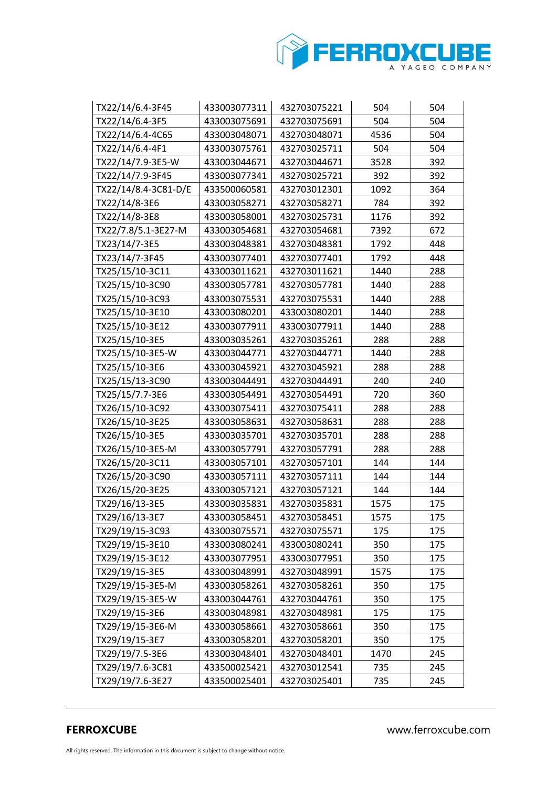

| TX22/14/6.4-3F45     | 433003077311 | 432703075221 | 504  | 504 |
|----------------------|--------------|--------------|------|-----|
| TX22/14/6.4-3F5      | 433003075691 | 432703075691 | 504  | 504 |
| TX22/14/6.4-4C65     | 433003048071 | 432703048071 | 4536 | 504 |
| TX22/14/6.4-4F1      | 433003075761 | 432703025711 | 504  | 504 |
| TX22/14/7.9-3E5-W    | 433003044671 | 432703044671 | 3528 | 392 |
| TX22/14/7.9-3F45     | 433003077341 | 432703025721 | 392  | 392 |
| TX22/14/8.4-3C81-D/E | 433500060581 | 432703012301 | 1092 | 364 |
| TX22/14/8-3E6        | 433003058271 | 432703058271 | 784  | 392 |
| TX22/14/8-3E8        | 433003058001 | 432703025731 | 1176 | 392 |
| TX22/7.8/5.1-3E27-M  | 433003054681 | 432703054681 | 7392 | 672 |
| TX23/14/7-3E5        | 433003048381 | 432703048381 | 1792 | 448 |
| TX23/14/7-3F45       | 433003077401 | 432703077401 | 1792 | 448 |
| TX25/15/10-3C11      | 433003011621 | 432703011621 | 1440 | 288 |
| TX25/15/10-3C90      | 433003057781 | 432703057781 | 1440 | 288 |
| TX25/15/10-3C93      | 433003075531 | 432703075531 | 1440 | 288 |
| TX25/15/10-3E10      | 433003080201 | 433003080201 | 1440 | 288 |
| TX25/15/10-3E12      | 433003077911 | 433003077911 | 1440 | 288 |
| TX25/15/10-3E5       | 433003035261 | 432703035261 | 288  | 288 |
| TX25/15/10-3E5-W     | 433003044771 | 432703044771 | 1440 | 288 |
| TX25/15/10-3E6       | 433003045921 | 432703045921 | 288  | 288 |
| TX25/15/13-3C90      | 433003044491 | 432703044491 | 240  | 240 |
| TX25/15/7.7-3E6      | 433003054491 | 432703054491 | 720  | 360 |
| TX26/15/10-3C92      | 433003075411 | 432703075411 | 288  | 288 |
| TX26/15/10-3E25      | 433003058631 | 432703058631 | 288  | 288 |
| TX26/15/10-3E5       | 433003035701 | 432703035701 | 288  | 288 |
| TX26/15/10-3E5-M     | 433003057791 | 432703057791 | 288  | 288 |
| TX26/15/20-3C11      | 433003057101 | 432703057101 | 144  | 144 |
| TX26/15/20-3C90      | 433003057111 | 432703057111 | 144  | 144 |
| TX26/15/20-3E25      | 433003057121 | 432703057121 | 144  | 144 |
| TX29/16/13-3E5       | 433003035831 | 432703035831 | 1575 | 175 |
| TX29/16/13-3E7       | 433003058451 | 432703058451 | 1575 | 175 |
| TX29/19/15-3C93      | 433003075571 | 432703075571 | 175  | 175 |
| TX29/19/15-3E10      | 433003080241 | 433003080241 | 350  | 175 |
| TX29/19/15-3E12      | 433003077951 | 433003077951 | 350  | 175 |
| TX29/19/15-3E5       | 433003048991 | 432703048991 | 1575 | 175 |
| TX29/19/15-3E5-M     | 433003058261 | 432703058261 | 350  | 175 |
| TX29/19/15-3E5-W     | 433003044761 | 432703044761 | 350  | 175 |
| TX29/19/15-3E6       | 433003048981 | 432703048981 | 175  | 175 |
| TX29/19/15-3E6-M     | 433003058661 | 432703058661 | 350  | 175 |
| TX29/19/15-3E7       | 433003058201 | 432703058201 | 350  | 175 |
| TX29/19/7.5-3E6      | 433003048401 | 432703048401 | 1470 | 245 |
| TX29/19/7.6-3C81     | 433500025421 | 432703012541 | 735  | 245 |
| TX29/19/7.6-3E27     | 433500025401 | 432703025401 | 735  | 245 |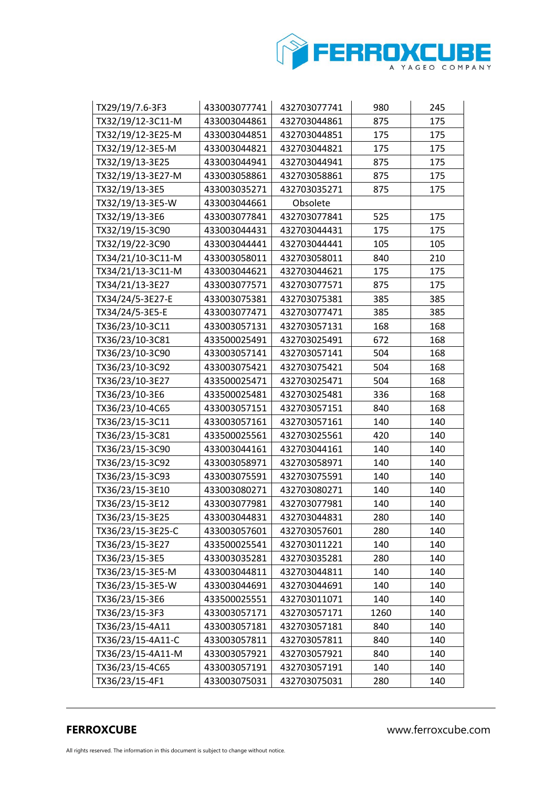

| TX29/19/7.6-3F3   | 433003077741 | 432703077741 | 980  | 245 |
|-------------------|--------------|--------------|------|-----|
| TX32/19/12-3C11-M | 433003044861 | 432703044861 | 875  | 175 |
| TX32/19/12-3E25-M | 433003044851 | 432703044851 | 175  | 175 |
| TX32/19/12-3E5-M  | 433003044821 | 432703044821 | 175  | 175 |
| TX32/19/13-3E25   | 433003044941 | 432703044941 | 875  | 175 |
| TX32/19/13-3E27-M | 433003058861 | 432703058861 | 875  | 175 |
| TX32/19/13-3E5    | 433003035271 | 432703035271 | 875  | 175 |
| TX32/19/13-3E5-W  | 433003044661 | Obsolete     |      |     |
| TX32/19/13-3E6    | 433003077841 | 432703077841 | 525  | 175 |
| TX32/19/15-3C90   | 433003044431 | 432703044431 | 175  | 175 |
| TX32/19/22-3C90   | 433003044441 | 432703044441 | 105  | 105 |
| TX34/21/10-3C11-M | 433003058011 | 432703058011 | 840  | 210 |
| TX34/21/13-3C11-M | 433003044621 | 432703044621 | 175  | 175 |
| TX34/21/13-3E27   | 433003077571 | 432703077571 | 875  | 175 |
| TX34/24/5-3E27-E  | 433003075381 | 432703075381 | 385  | 385 |
| TX34/24/5-3E5-E   | 433003077471 | 432703077471 | 385  | 385 |
| TX36/23/10-3C11   | 433003057131 | 432703057131 | 168  | 168 |
| TX36/23/10-3C81   | 433500025491 | 432703025491 | 672  | 168 |
| TX36/23/10-3C90   | 433003057141 | 432703057141 | 504  | 168 |
| TX36/23/10-3C92   | 433003075421 | 432703075421 | 504  | 168 |
| TX36/23/10-3E27   | 433500025471 | 432703025471 | 504  | 168 |
| TX36/23/10-3E6    | 433500025481 | 432703025481 | 336  | 168 |
| TX36/23/10-4C65   | 433003057151 | 432703057151 | 840  | 168 |
| TX36/23/15-3C11   | 433003057161 | 432703057161 | 140  | 140 |
| TX36/23/15-3C81   | 433500025561 | 432703025561 | 420  | 140 |
| TX36/23/15-3C90   | 433003044161 | 432703044161 | 140  | 140 |
| TX36/23/15-3C92   | 433003058971 | 432703058971 | 140  | 140 |
| TX36/23/15-3C93   | 433003075591 | 432703075591 | 140  | 140 |
| TX36/23/15-3E10   | 433003080271 | 432703080271 | 140  | 140 |
| TX36/23/15-3E12   | 433003077981 | 432703077981 | 140  | 140 |
| TX36/23/15-3E25   | 433003044831 | 432703044831 | 280  | 140 |
| TX36/23/15-3E25-C | 433003057601 | 432703057601 | 280  | 140 |
| TX36/23/15-3E27   | 433500025541 | 432703011221 | 140  | 140 |
| TX36/23/15-3E5    | 433003035281 | 432703035281 | 280  | 140 |
| TX36/23/15-3E5-M  | 433003044811 | 432703044811 | 140  | 140 |
| TX36/23/15-3E5-W  | 433003044691 | 432703044691 | 140  | 140 |
| TX36/23/15-3E6    | 433500025551 | 432703011071 | 140  | 140 |
| TX36/23/15-3F3    | 433003057171 | 432703057171 | 1260 | 140 |
| TX36/23/15-4A11   | 433003057181 | 432703057181 | 840  | 140 |
| TX36/23/15-4A11-C | 433003057811 | 432703057811 | 840  | 140 |
| TX36/23/15-4A11-M | 433003057921 | 432703057921 | 840  | 140 |
| TX36/23/15-4C65   | 433003057191 | 432703057191 | 140  | 140 |
| TX36/23/15-4F1    | 433003075031 | 432703075031 | 280  | 140 |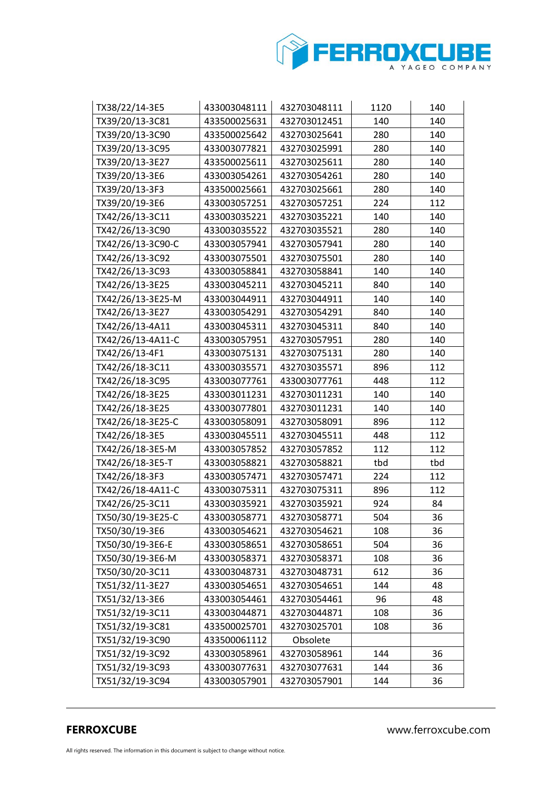

| TX38/22/14-3E5    | 433003048111 | 432703048111 | 1120 | 140 |
|-------------------|--------------|--------------|------|-----|
| TX39/20/13-3C81   | 433500025631 | 432703012451 | 140  | 140 |
| TX39/20/13-3C90   | 433500025642 | 432703025641 | 280  | 140 |
| TX39/20/13-3C95   | 433003077821 | 432703025991 | 280  | 140 |
| TX39/20/13-3E27   | 433500025611 | 432703025611 | 280  | 140 |
| TX39/20/13-3E6    | 433003054261 | 432703054261 | 280  | 140 |
| TX39/20/13-3F3    | 433500025661 | 432703025661 | 280  | 140 |
| TX39/20/19-3E6    | 433003057251 | 432703057251 | 224  | 112 |
| TX42/26/13-3C11   | 433003035221 | 432703035221 | 140  | 140 |
| TX42/26/13-3C90   | 433003035522 | 432703035521 | 280  | 140 |
| TX42/26/13-3C90-C | 433003057941 | 432703057941 | 280  | 140 |
| TX42/26/13-3C92   | 433003075501 | 432703075501 | 280  | 140 |
| TX42/26/13-3C93   | 433003058841 | 432703058841 | 140  | 140 |
| TX42/26/13-3E25   | 433003045211 | 432703045211 | 840  | 140 |
| TX42/26/13-3E25-M | 433003044911 | 432703044911 | 140  | 140 |
| TX42/26/13-3E27   | 433003054291 | 432703054291 | 840  | 140 |
| TX42/26/13-4A11   | 433003045311 | 432703045311 | 840  | 140 |
| TX42/26/13-4A11-C | 433003057951 | 432703057951 | 280  | 140 |
| TX42/26/13-4F1    | 433003075131 | 432703075131 | 280  | 140 |
| TX42/26/18-3C11   | 433003035571 | 432703035571 | 896  | 112 |
| TX42/26/18-3C95   | 433003077761 | 433003077761 | 448  | 112 |
| TX42/26/18-3E25   | 433003011231 | 432703011231 | 140  | 140 |
| TX42/26/18-3E25   | 433003077801 | 432703011231 | 140  | 140 |
| TX42/26/18-3E25-C | 433003058091 | 432703058091 | 896  | 112 |
| TX42/26/18-3E5    | 433003045511 | 432703045511 | 448  | 112 |
| TX42/26/18-3E5-M  | 433003057852 | 432703057852 | 112  | 112 |
| TX42/26/18-3E5-T  | 433003058821 | 432703058821 | tbd  | tbd |
| TX42/26/18-3F3    | 433003057471 | 432703057471 | 224  | 112 |
| TX42/26/18-4A11-C | 433003075311 | 432703075311 | 896  | 112 |
| TX42/26/25-3C11   | 433003035921 | 432703035921 | 924  | 84  |
| TX50/30/19-3E25-C | 433003058771 | 432703058771 | 504  | 36  |
| TX50/30/19-3E6    | 433003054621 | 432703054621 | 108  | 36  |
| TX50/30/19-3E6-E  | 433003058651 | 432703058651 | 504  | 36  |
| TX50/30/19-3E6-M  | 433003058371 | 432703058371 | 108  | 36  |
| TX50/30/20-3C11   | 433003048731 | 432703048731 | 612  | 36  |
| TX51/32/11-3E27   | 433003054651 | 432703054651 | 144  | 48  |
| TX51/32/13-3E6    | 433003054461 | 432703054461 | 96   | 48  |
| TX51/32/19-3C11   | 433003044871 | 432703044871 | 108  | 36  |
| TX51/32/19-3C81   | 433500025701 | 432703025701 | 108  | 36  |
| TX51/32/19-3C90   | 433500061112 | Obsolete     |      |     |
| TX51/32/19-3C92   | 433003058961 | 432703058961 | 144  | 36  |
| TX51/32/19-3C93   | 433003077631 | 432703077631 | 144  | 36  |
| TX51/32/19-3C94   | 433003057901 | 432703057901 | 144  | 36  |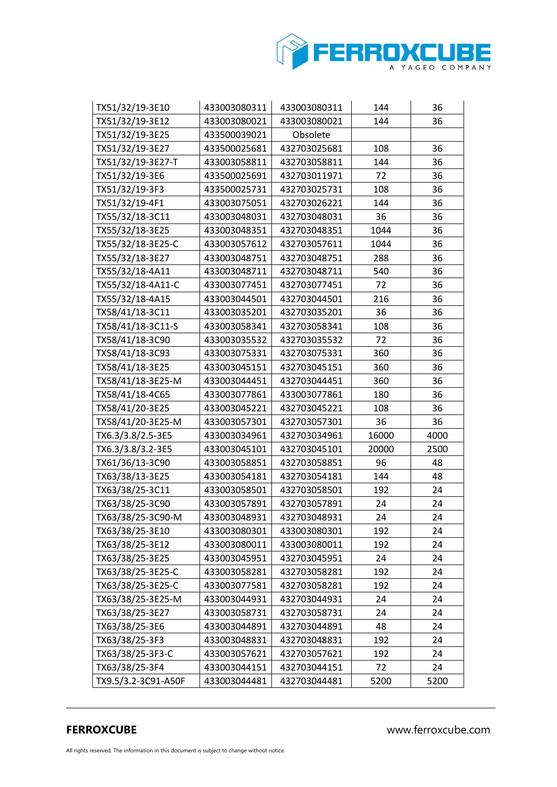

| TX51/32/19-3E10     | 433003080311 | 433003080311 | 144   | 36   |
|---------------------|--------------|--------------|-------|------|
| TX51/32/19-3E12     | 433003080021 | 433003080021 | 144   | 36   |
| TX51/32/19-3E25     | 433500039021 | Obsolete     |       |      |
| TX51/32/19-3E27     | 433500025681 | 432703025681 | 108   | 36   |
| TX51/32/19-3E27-T   | 433003058811 | 432703058811 | 144   | 36   |
| TX51/32/19-3E6      | 433500025691 | 432703011971 | 72    | 36   |
| TX51/32/19-3F3      | 433500025731 | 432703025731 | 108   | 36   |
| TX51/32/19-4F1      | 433003075051 | 432703026221 | 144   | 36   |
| TX55/32/18-3C11     | 433003048031 | 432703048031 | 36    | 36   |
| TX55/32/18-3E25     | 433003048351 | 432703048351 | 1044  | 36   |
| TX55/32/18-3E25-C   | 433003057612 | 432703057611 | 1044  | 36   |
| TX55/32/18-3E27     | 433003048751 | 432703048751 | 288   | 36   |
| TX55/32/18-4A11     | 433003048711 | 432703048711 | 540   | 36   |
| TX55/32/18-4A11-C   | 433003077451 | 432703077451 | 72    | 36   |
| TX55/32/18-4A15     | 433003044501 | 432703044501 | 216   | 36   |
| TX58/41/18-3C11     | 433003035201 | 432703035201 | 36    | 36   |
| TX58/41/18-3C11-S   | 433003058341 | 432703058341 | 108   | 36   |
| TX58/41/18-3C90     | 433003035532 | 432703035532 | 72    | 36   |
| TX58/41/18-3C93     | 433003075331 | 432703075331 | 360   | 36   |
| TX58/41/18-3E25     | 433003045151 | 432703045151 | 360   | 36   |
| TX58/41/18-3E25-M   | 433003044451 | 432703044451 | 360   | 36   |
| TX58/41/18-4C65     | 433003077861 | 433003077861 | 180   | 36   |
| TX58/41/20-3E25     | 433003045221 | 432703045221 | 108   | 36   |
| TX58/41/20-3E25-M   | 433003057301 | 432703057301 | 36    | 36   |
| TX6.3/3.8/2.5-3E5   | 433003034961 | 432703034961 | 16000 | 4000 |
| TX6.3/3.8/3.2-3E5   | 433003045101 | 432703045101 | 20000 | 2500 |
| TX61/36/13-3C90     | 433003058851 | 432703058851 | 96    | 48   |
| TX63/38/13-3E25     | 433003054181 | 432703054181 | 144   | 48   |
| TX63/38/25-3C11     | 433003058501 | 432703058501 | 192   | 24   |
| TX63/38/25-3C90     | 433003057891 | 432703057891 | 24    | 24   |
| TX63/38/25-3C90-M   | 433003048931 | 432703048931 | 24    | 24   |
| TX63/38/25-3E10     | 433003080301 | 433003080301 | 192   | 24   |
| TX63/38/25-3E12     | 433003080011 | 433003080011 | 192   | 24   |
| TX63/38/25-3E25     | 433003045951 | 432703045951 | 24    | 24   |
| TX63/38/25-3E25-C   | 433003058281 | 432703058281 | 192   | 24   |
| TX63/38/25-3E25-C   | 433003077581 | 432703058281 | 192   | 24   |
| TX63/38/25-3E25-M   | 433003044931 | 432703044931 | 24    | 24   |
| TX63/38/25-3E27     | 433003058731 | 432703058731 | 24    | 24   |
| TX63/38/25-3E6      | 433003044891 | 432703044891 | 48    | 24   |
| TX63/38/25-3F3      | 433003048831 | 432703048831 | 192   | 24   |
| TX63/38/25-3F3-C    | 433003057621 | 432703057621 | 192   | 24   |
| TX63/38/25-3F4      | 433003044151 | 432703044151 | 72    | 24   |
| TX9.5/3.2-3C91-A50F | 433003044481 | 432703044481 | 5200  | 5200 |